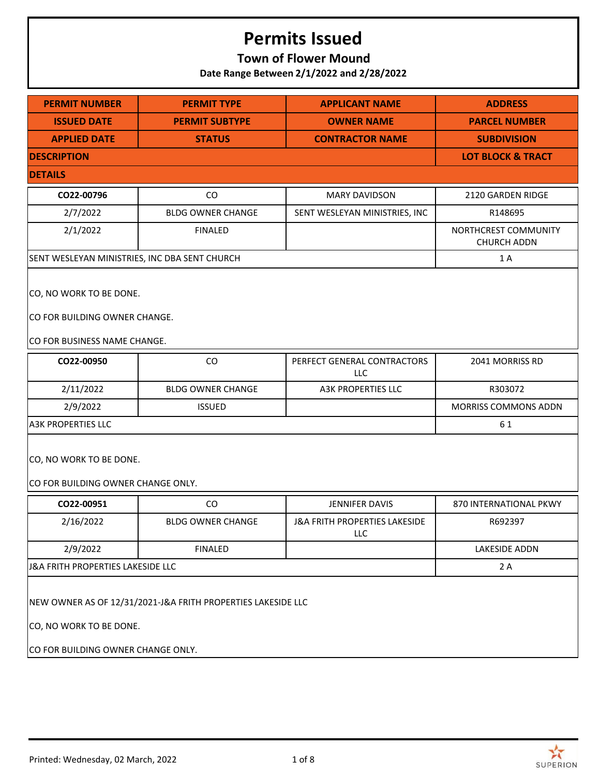## **Town of Flower Mound**

**Date Range Between 2/1/2022 and 2/28/2022**

| <b>PERMIT NUMBER</b>                                                                                                          | <b>PERMIT TYPE</b>                                            | <b>APPLICANT NAME</b>                                  | <b>ADDRESS</b>                             |  |  |
|-------------------------------------------------------------------------------------------------------------------------------|---------------------------------------------------------------|--------------------------------------------------------|--------------------------------------------|--|--|
| <b>ISSUED DATE</b>                                                                                                            | <b>PERMIT SUBTYPE</b>                                         | <b>OWNER NAME</b>                                      | <b>PARCEL NUMBER</b>                       |  |  |
| <b>APPLIED DATE</b>                                                                                                           | <b>STATUS</b>                                                 | <b>CONTRACTOR NAME</b>                                 | <b>SUBDIVISION</b>                         |  |  |
| <b>DESCRIPTION</b>                                                                                                            |                                                               |                                                        | <b>LOT BLOCK &amp; TRACT</b>               |  |  |
| <b>DETAILS</b>                                                                                                                |                                                               |                                                        |                                            |  |  |
| CO22-00796                                                                                                                    | CO                                                            | <b>MARY DAVIDSON</b>                                   | 2120 GARDEN RIDGE                          |  |  |
| 2/7/2022                                                                                                                      | <b>BLDG OWNER CHANGE</b>                                      | SENT WESLEYAN MINISTRIES, INC                          | R148695                                    |  |  |
| 2/1/2022                                                                                                                      | <b>FINALED</b>                                                |                                                        | NORTHCREST COMMUNITY<br><b>CHURCH ADDN</b> |  |  |
| SENT WESLEYAN MINISTRIES, INC DBA SENT CHURCH                                                                                 |                                                               |                                                        | 1 A                                        |  |  |
| CO, NO WORK TO BE DONE.<br>CO FOR BUILDING OWNER CHANGE.<br>CO FOR BUSINESS NAME CHANGE.                                      |                                                               |                                                        |                                            |  |  |
| CO22-00950                                                                                                                    | CO                                                            | PERFECT GENERAL CONTRACTORS<br><b>LLC</b>              | 2041 MORRISS RD                            |  |  |
| 2/11/2022                                                                                                                     | <b>BLDG OWNER CHANGE</b>                                      | A3K PROPERTIES LLC                                     | R303072                                    |  |  |
| 2/9/2022                                                                                                                      | <b>ISSUED</b>                                                 |                                                        | MORRISS COMMONS ADDN                       |  |  |
| <b>A3K PROPERTIES LLC</b>                                                                                                     |                                                               |                                                        | 61                                         |  |  |
|                                                                                                                               | CO, NO WORK TO BE DONE.<br>CO FOR BUILDING OWNER CHANGE ONLY. |                                                        |                                            |  |  |
| CO22-00951                                                                                                                    | CO                                                            | <b>JENNIFER DAVIS</b>                                  | 870 INTERNATIONAL PKWY                     |  |  |
| 2/16/2022                                                                                                                     | <b>BLDG OWNER CHANGE</b>                                      | <b>J&amp;A FRITH PROPERTIES LAKESIDE</b><br><b>LLC</b> | R692397                                    |  |  |
| 2/9/2022                                                                                                                      | <b>FINALED</b>                                                |                                                        | LAKESIDE ADDN                              |  |  |
| J&A FRITH PROPERTIES LAKESIDE LLC                                                                                             |                                                               |                                                        | 2A                                         |  |  |
| NEW OWNER AS OF 12/31/2021-J&A FRITH PROPERTIES LAKESIDE LLC<br>CO, NO WORK TO BE DONE.<br>CO FOR BUILDING OWNER CHANGE ONLY. |                                                               |                                                        |                                            |  |  |

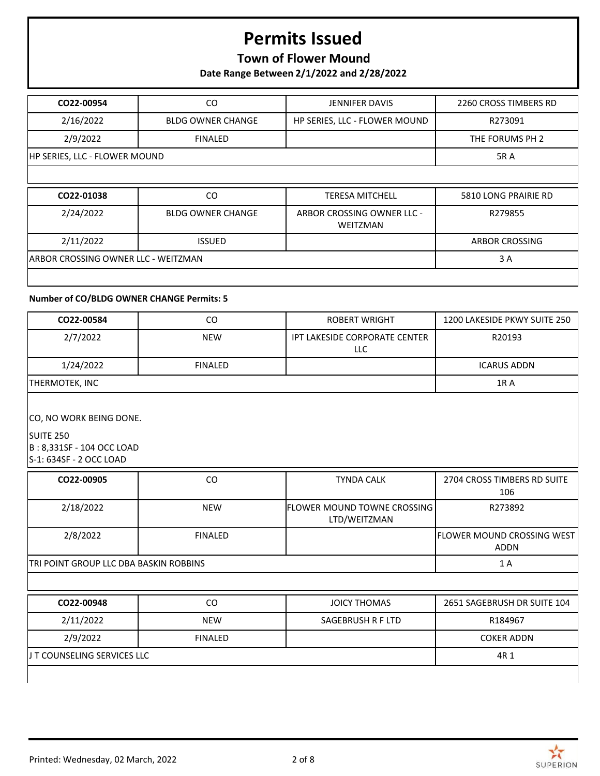## **Town of Flower Mound**

**Date Range Between 2/1/2022 and 2/28/2022**

| CO22-00954                          | CO.                      | <b>JENNIFER DAVIS</b>                         | 2260 CROSS TIMBERS RD |
|-------------------------------------|--------------------------|-----------------------------------------------|-----------------------|
| 2/16/2022                           | <b>BLDG OWNER CHANGE</b> | HP SERIES, LLC - FLOWER MOUND                 | R273091               |
| 2/9/2022                            | <b>FINALED</b>           |                                               | THE FORUMS PH 2       |
| HP SERIES, LLC - FLOWER MOUND       |                          |                                               | <b>5RA</b>            |
|                                     |                          |                                               |                       |
| CO22-01038                          | CO.                      | <b>TERESA MITCHELL</b>                        | 5810 LONG PRAIRIE RD  |
| 2/24/2022                           | <b>BLDG OWNER CHANGE</b> | ARBOR CROSSING OWNER LLC -<br><b>WEITZMAN</b> | R279855               |
| 2/11/2022                           | <b>ISSUED</b>            |                                               | <b>ARBOR CROSSING</b> |
| ARBOR CROSSING OWNER LLC - WEITZMAN |                          |                                               | 3 A                   |
|                                     |                          |                                               |                       |

### **Number of CO/BLDG OWNER CHANGE Permits: 5**

| CO22-00584     | CO             | <b>ROBERT WRIGHT</b>                 | 1200 LAKESIDE PKWY SUITE 250 |
|----------------|----------------|--------------------------------------|------------------------------|
| 2/7/2022       | <b>NEW</b>     | IPT LAKESIDE CORPORATE CENTER<br>LLC | R20193                       |
| 1/24/2022      | <b>FINALED</b> |                                      | <b>ICARUS ADDN</b>           |
| THERMOTEK, INC |                |                                      | 1R A                         |
|                |                |                                      |                              |

CO, NO WORK BEING DONE.

SUITE 250 B : 8,331SF - 104 OCC LOAD S-1: 634SF - 2 OCC LOAD

| CO22-00905                             | CO             | <b>TYNDA CALK</b>                                     | 2704 CROSS TIMBERS RD SUITE<br>106 |
|----------------------------------------|----------------|-------------------------------------------------------|------------------------------------|
| 2/18/2022                              | <b>NEW</b>     | <b>IFLOWER MOUND TOWNE CROSSING I</b><br>LTD/WEITZMAN | R273892                            |
| 2/8/2022                               | <b>FINALED</b> |                                                       | lflower mound crossing west        |
|                                        |                |                                                       | ADDN                               |
| TRI POINT GROUP LLC DBA BASKIN ROBBINS |                |                                                       | 1 A                                |

| CO22-00948                   | CO             | JOICY THOMAS      | 2651 SAGEBRUSH DR SUITE 104 |
|------------------------------|----------------|-------------------|-----------------------------|
| 2/11/2022                    | <b>NEW</b>     | SAGEBRUSH R F LTD | R184967                     |
| 2/9/2022                     | <b>FINALED</b> |                   | <b>COKER ADDN</b>           |
| IJ T COUNSELING SERVICES LLC |                |                   | 4R 1                        |
|                              |                |                   |                             |

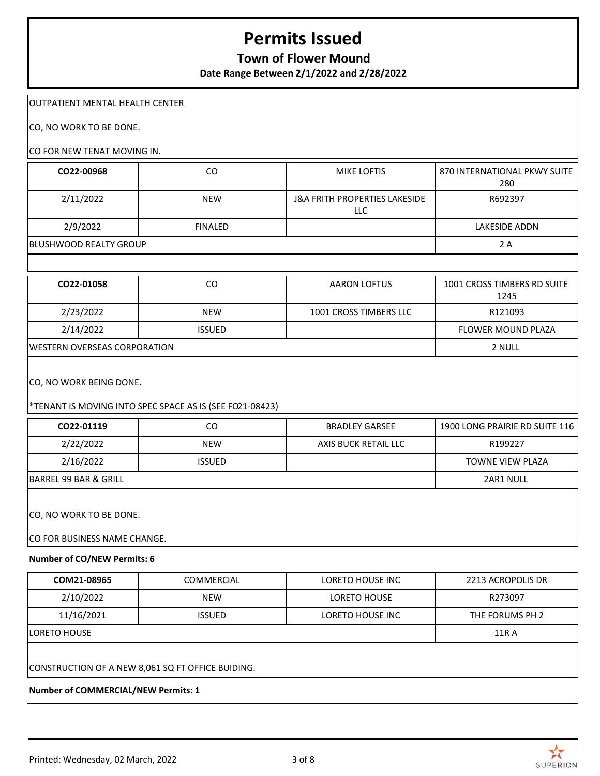## **Town of Flower Mound**

**Date Range Between 2/1/2022 and 2/28/2022**

#### OUTPATIENT MENTAL HEALTH CENTER

CO, NO WORK TO BE DONE.

#### CO FOR NEW TENAT MOVING IN.

| CO22-00968                    | CO             | <b>MIKE LOFTIS</b>                              | 870 INTERNATIONAL PKWY SUITE<br>280 |
|-------------------------------|----------------|-------------------------------------------------|-------------------------------------|
| 2/11/2022                     | <b>NEW</b>     | <b>J&amp;A FRITH PROPERTIES LAKESIDE</b><br>LLC | R692397                             |
| 2/9/2022                      | <b>FINALED</b> |                                                 | LAKESIDE ADDN                       |
| <b>BLUSHWOOD REALTY GROUP</b> |                |                                                 | 2 A                                 |

| CO22-01058                           | CO            | <b>AARON LOFTUS</b>    | 1001 CROSS TIMBERS RD SUITE<br>1245 |
|--------------------------------------|---------------|------------------------|-------------------------------------|
| 2/23/2022                            | <b>NEW</b>    | 1001 CROSS TIMBERS LLC | R121093                             |
| 2/14/2022                            | <b>ISSUED</b> |                        | <b>FLOWER MOUND PLAZA</b>           |
| <b>IWESTERN OVERSEAS CORPORATION</b> |               |                        | 2 NULL                              |

CO, NO WORK BEING DONE.

#### \*TENANT IS MOVING INTO SPEC SPACE AS IS (SEE FO21-08423)

| CO22-01119                   | <sub>CO</sub>           | <b>BRADLEY GARSEE</b> | 1900 LONG PRAIRIE RD SUITE 116 |  |  |
|------------------------------|-------------------------|-----------------------|--------------------------------|--|--|
| 2/22/2022                    | <b>NEW</b>              | AXIS BUCK RETAIL LLC  | R199227                        |  |  |
| 2/16/2022                    | <b>ISSUED</b>           |                       | TOWNE VIEW PLAZA               |  |  |
| BARREL 99 BAR & GRILL        |                         |                       | 2AR1 NULL                      |  |  |
|                              | CO, NO WORK TO BE DONE. |                       |                                |  |  |
| CO FOR BUSINESS NAME CHANGE. |                         |                       |                                |  |  |

#### **Number of CO/NEW Permits: 6**

| COM21-08965   | COMMERCIAL    | LORETO HOUSE INC | 2213 ACROPOLIS DR |
|---------------|---------------|------------------|-------------------|
| 2/10/2022     | <b>NEW</b>    | LORETO HOUSE     | R273097           |
| 11/16/2021    | <b>ISSUED</b> | LORETO HOUSE INC | THE FORUMS PH 2   |
| ILORETO HOUSE |               |                  | 11R A             |
|               |               |                  |                   |

CONSTRUCTION OF A NEW 8,061 SQ FT OFFICE BUIDING.

**Number of COMMERCIAL/NEW Permits: 1**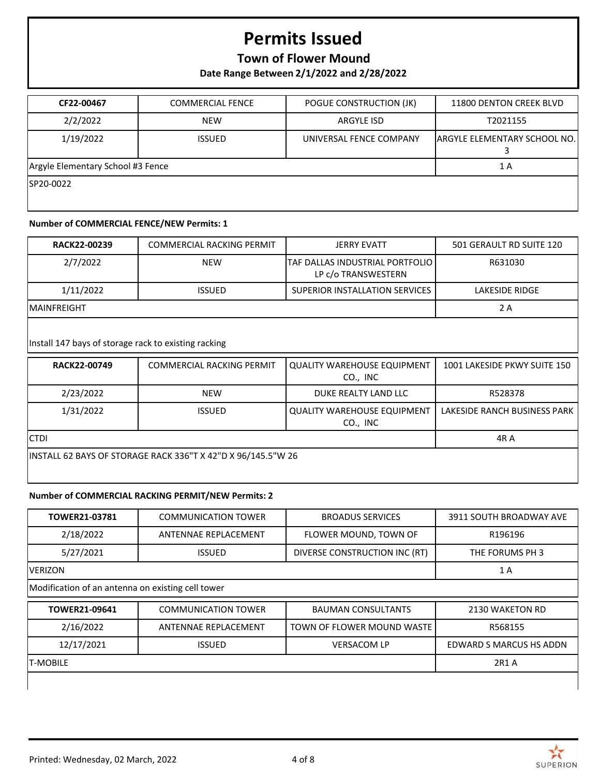## **Town of Flower Mound**

**Date Range Between 2/1/2022 and 2/28/2022**

| CF22-00467                        | <b>COMMERCIAL FENCE</b> | POGUE CONSTRUCTION (JK) | 11800 DENTON CREEK BLVD      |
|-----------------------------------|-------------------------|-------------------------|------------------------------|
| 2/2/2022                          | <b>NEW</b>              | <b>ARGYLE ISD</b>       | T2021155                     |
| 1/19/2022                         | <b>ISSUED</b>           | UNIVERSAL FENCE COMPANY | ARGYLE ELEMENTARY SCHOOL NO. |
| Argyle Elementary School #3 Fence |                         |                         | 1 A                          |
| SP20-0022                         |                         |                         |                              |

#### **Number of COMMERCIAL FENCE/NEW Permits: 1**

| RACK22-00239        | COMMERCIAL RACKING PERMIT | <b>JERRY EVATT</b>                                        | 501 GERAULT RD SUITE 120 |
|---------------------|---------------------------|-----------------------------------------------------------|--------------------------|
| 2/7/2022            | <b>NEW</b>                | ITAF DALLAS INDUSTRIAL PORTFOLIO I<br>LP C/O TRANSWESTERN | R631030                  |
| 1/11/2022           | <b>ISSUED</b>             | <b>SUPERIOR INSTALLATION SERVICES</b>                     | LAKESIDE RIDGE           |
| <b>IMAINFREIGHT</b> |                           |                                                           | 2 A                      |

Install 147 bays of storage rack to existing racking

| RACK22-00749                                                 | <b>COMMERCIAL RACKING PERMIT</b> | QUALITY WAREHOUSE EQUIPMENT<br>CO., INC        | 1001 LAKESIDE PKWY SUITE 150 |
|--------------------------------------------------------------|----------------------------------|------------------------------------------------|------------------------------|
| 2/23/2022                                                    | <b>NEW</b>                       | DUKE REALTY LAND LLC                           | R528378                      |
| 1/31/2022                                                    | <b>ISSUED</b>                    | <b>QUALITY WAREHOUSE EQUIPMENT</b><br>CO., INC | LAKESIDE RANCH BUSINESS PARK |
| <b>CTDI</b>                                                  |                                  |                                                | 4R A                         |
| INSTALL 62 BAYS OF STORAGE RACK 336"T X 42"D X 96/145.5"W 26 |                                  |                                                |                              |

### **Number of COMMERCIAL RACKING PERMIT/NEW Permits: 2**

| TOWER21-03781                                     | <b>COMMUNICATION TOWER</b> | <b>BROADUS SERVICES</b>       | 3911 SOUTH BROADWAY AVE |
|---------------------------------------------------|----------------------------|-------------------------------|-------------------------|
| 2/18/2022                                         | ANTENNAE REPLACEMENT       | FLOWER MOUND, TOWN OF         | R196196                 |
| 5/27/2021                                         | <b>ISSUED</b>              | DIVERSE CONSTRUCTION INC (RT) | THE FORUMS PH 3         |
| <b>VERIZON</b>                                    |                            | 1A                            |                         |
| Modification of an antenna on existing cell tower |                            |                               |                         |
| TOWER21-09641                                     | <b>COMMUNICATION TOWER</b> | <b>BAUMAN CONSULTANTS</b>     | 2130 WAKETON RD         |
| 2/16/2022                                         | ANTENNAE REPLACEMENT       | TOWN OF FLOWER MOUND WASTE    | R568155                 |
| 12/17/2021                                        | <b>ISSUED</b>              | <b>VERSACOM LP</b>            | EDWARD S MARCUS HS ADDN |
| <b>T-MOBILE</b>                                   |                            |                               | 2R1 A                   |

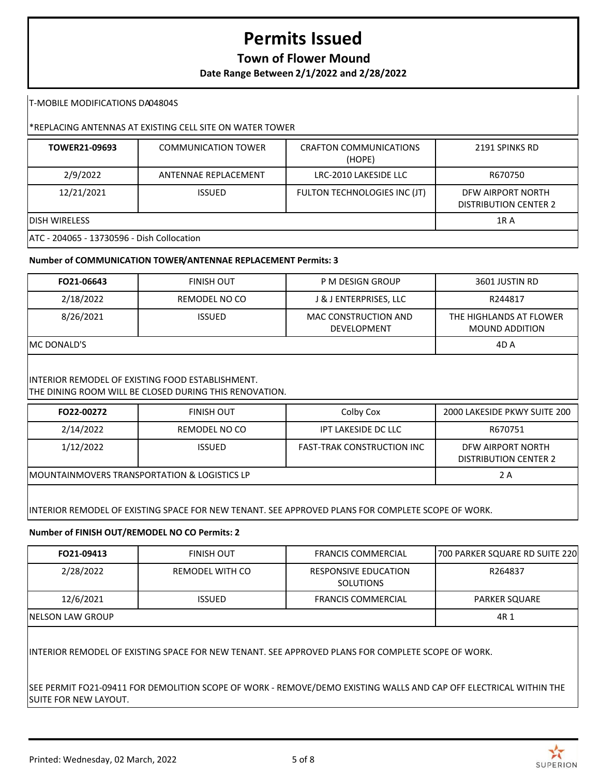## **Town of Flower Mound**

**Date Range Between 2/1/2022 and 2/28/2022**

T-MOBILE MODIFICATIONS DA04804S

### \*REPLACING ANTENNAS AT EXISTING CELL SITE ON WATER TOWER

| TOWER21-09693                              | <b>COMMUNICATION TOWER</b> | <b>CRAFTON COMMUNICATIONS</b><br>(HOPE) | 2191 SPINKS RD                                    |  |
|--------------------------------------------|----------------------------|-----------------------------------------|---------------------------------------------------|--|
| 2/9/2022                                   | ANTENNAE REPLACEMENT       | LRC-2010 LAKESIDE LLC                   | R670750                                           |  |
| 12/21/2021                                 | <b>ISSUED</b>              | FULTON TECHNOLOGIES INC (JT)            | DFW AIRPORT NORTH<br><b>DISTRIBUTION CENTER 2</b> |  |
| DISH WIRELESS<br><b>1RA</b>                |                            |                                         |                                                   |  |
| ATC - 204065 - 13730596 - Dish Collocation |                            |                                         |                                                   |  |

#### **Number of COMMUNICATION TOWER/ANTENNAE REPLACEMENT Permits: 3**

| FO21-06643          | <b>FINISH OUT</b> | P M DESIGN GROUP                           | 3601 JUSTIN RD                            |
|---------------------|-------------------|--------------------------------------------|-------------------------------------------|
| 2/18/2022           | REMODEL NO CO     | J & J ENTERPRISES, LLC                     | R244817                                   |
| 8/26/2021           | <b>ISSUED</b>     | MAC CONSTRUCTION AND<br><b>DEVELOPMENT</b> | THE HIGHLANDS AT FLOWER<br>MOUND ADDITION |
| <b>IMC DONALD'S</b> |                   |                                            | 4D A                                      |
|                     |                   |                                            |                                           |

### INTERIOR REMODEL OF EXISTING FOOD ESTABLISHMENT.

THE DINING ROOM WILL BE CLOSED DURING THIS RENOVATION.

| FO22-00272                                    | <b>FINISH OUT</b> | Colby Cox                         | 2000 LAKESIDE PKWY SUITE 200                      |
|-----------------------------------------------|-------------------|-----------------------------------|---------------------------------------------------|
| 2/14/2022                                     | REMODEL NO CO     | IPT LAKESIDE DC LLC               | R670751                                           |
| 1/12/2022                                     | <b>ISSUED</b>     | <b>FAST-TRAK CONSTRUCTION INC</b> | DFW AIRPORT NORTH<br><b>DISTRIBUTION CENTER 2</b> |
| IMOUNTAINMOVERS TRANSPORTATION & LOGISTICS LP |                   |                                   | 2 A                                               |
|                                               |                   |                                   |                                                   |

INTERIOR REMODEL OF EXISTING SPACE FOR NEW TENANT. SEE APPROVED PLANS FOR COMPLETE SCOPE OF WORK.

#### **Number of FINISH OUT/REMODEL NO CO Permits: 2**

| FO21-09413        | FINISH OUT      | <b>FRANCIS COMMERCIAL</b>                       | 700 PARKER SQUARE RD SUITE 220 |
|-------------------|-----------------|-------------------------------------------------|--------------------------------|
| 2/28/2022         | REMODEL WITH CO | <b>RESPONSIVE EDUCATION</b><br><b>SOLUTIONS</b> | R264837                        |
| 12/6/2021         | <b>ISSUED</b>   | <b>FRANCIS COMMERCIAL</b>                       | PARKER SQUARE                  |
| INELSON LAW GROUP |                 |                                                 | 4R 1                           |

INTERIOR REMODEL OF EXISTING SPACE FOR NEW TENANT. SEE APPROVED PLANS FOR COMPLETE SCOPE OF WORK.

SEE PERMIT FO21-09411 FOR DEMOLITION SCOPE OF WORK - REMOVE/DEMO EXISTING WALLS AND CAP OFF ELECTRICAL WITHIN THE SUITE FOR NEW LAYOUT.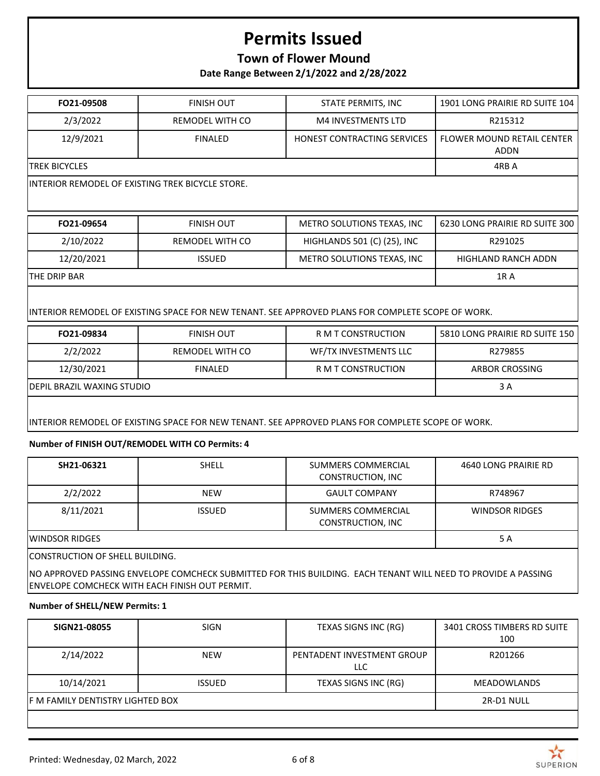## **Town of Flower Mound**

**Date Range Between 2/1/2022 and 2/28/2022**

| FO21-09508     | <b>FINISH OUT</b> | STATE PERMITS, INC                 | 1901 LONG PRAIRIE RD SUITE 104              |
|----------------|-------------------|------------------------------------|---------------------------------------------|
| 2/3/2022       | REMODEL WITH CO   | <b>M4 INVESTMENTS LTD</b>          | R215312                                     |
| 12/9/2021      | <b>FINALED</b>    | <b>HONEST CONTRACTING SERVICES</b> | <b>I FLOWER MOUND RETAIL CENTER</b><br>ADDN |
| ITREK BICYCLES |                   |                                    | 4RB A                                       |
|                |                   |                                    |                                             |

INTERIOR REMODEL OF EXISTING TREK BICYCLE STORE.

| FO21-09654           | <b>FINISH OUT</b> | METRO SOLUTIONS TEXAS, INC  | 6230 LONG PRAIRIE RD SUITE 300 |
|----------------------|-------------------|-----------------------------|--------------------------------|
| 2/10/2022            | REMODEL WITH CO   | HIGHLANDS 501 (C) (25), INC | R291025                        |
| 12/20/2021           | ISSUED.           | METRO SOLUTIONS TEXAS, INC  | HIGHLAND RANCH ADDN            |
| <b>ITHE DRIP BAR</b> |                   |                             | 1R A                           |

INTERIOR REMODEL OF EXISTING SPACE FOR NEW TENANT. SEE APPROVED PLANS FOR COMPLETE SCOPE OF WORK.

| FO21-09834                  | <b>FINISH OUT</b> | R M T CONSTRUCTION    | 5810 LONG PRAIRIE RD SUITE 150 |
|-----------------------------|-------------------|-----------------------|--------------------------------|
| 2/2/2022                    | REMODEL WITH CO   | WF/TX INVESTMENTS LLC | R279855                        |
| 12/30/2021                  | <b>FINALED</b>    | R M T CONSTRUCTION    | ARBOR CROSSING                 |
| IDEPIL BRAZIL WAXING STUDIO |                   |                       | 3 A                            |
|                             |                   |                       |                                |

INTERIOR REMODEL OF EXISTING SPACE FOR NEW TENANT. SEE APPROVED PLANS FOR COMPLETE SCOPE OF WORK.

### **Number of FINISH OUT/REMODEL WITH CO Permits: 4**

| SH21-06321                      | <b>SHELL</b>  | SUMMERS COMMERCIAL<br><b>CONSTRUCTION, INC</b> | 4640 LONG PRAIRIE RD  |  |
|---------------------------------|---------------|------------------------------------------------|-----------------------|--|
| 2/2/2022                        | <b>NEW</b>    | <b>GAULT COMPANY</b>                           | R748967               |  |
| 8/11/2021                       | <b>ISSUED</b> | SUMMERS COMMERCIAL<br>CONSTRUCTION, INC        | <b>WINDSOR RIDGES</b> |  |
| IWINDSOR RIDGES                 | 5 A           |                                                |                       |  |
| CONSTRUCTION OF SHELL BUILDING. |               |                                                |                       |  |

NO APPROVED PASSING ENVELOPE COMCHECK SUBMITTED FOR THIS BUILDING. EACH TENANT WILL NEED TO PROVIDE A PASSING ENVELOPE COMCHECK WITH EACH FINISH OUT PERMIT.

#### **Number of SHELL/NEW Permits: 1**

| SIGN21-08055                      | <b>SIGN</b>   | TEXAS SIGNS INC (RG)              | 3401 CROSS TIMBERS RD SUITE<br>100 |
|-----------------------------------|---------------|-----------------------------------|------------------------------------|
| 2/14/2022                         | <b>NEW</b>    | PENTADENT INVESTMENT GROUP<br>LLC | R201266                            |
| 10/14/2021                        | <b>ISSUED</b> | TEXAS SIGNS INC (RG)              | <b>MEADOWLANDS</b>                 |
| IF M FAMILY DENTISTRY LIGHTED BOX |               |                                   | 2R-D1 NULL                         |
|                                   |               |                                   |                                    |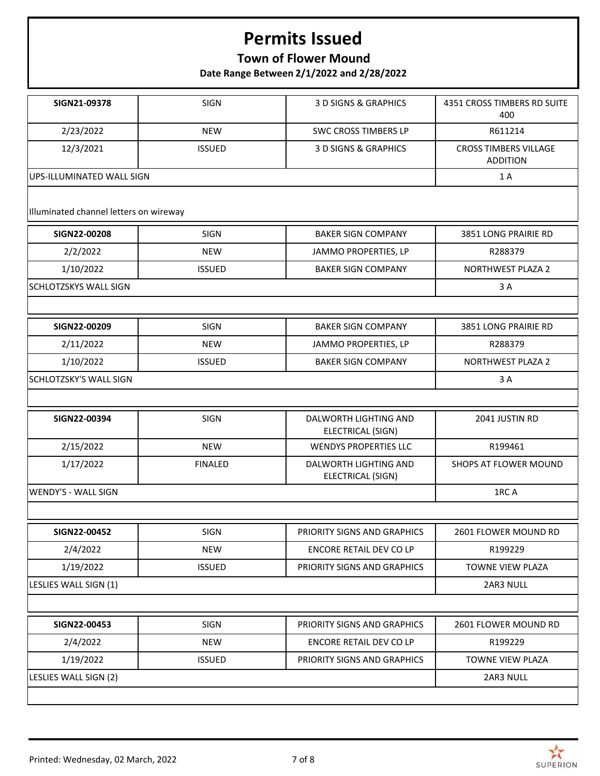## **Town of Flower Mound**

**Date Range Between 2/1/2022 and 2/28/2022**

| SIGN21-09378                           | <b>SIGN</b>    | 3 D SIGNS & GRAPHICS                       | 4351 CROSS TIMBERS RD SUITE<br>400              |
|----------------------------------------|----------------|--------------------------------------------|-------------------------------------------------|
| 2/23/2022                              | <b>NEW</b>     | <b>SWC CROSS TIMBERS LP</b>                | R611214                                         |
| 12/3/2021                              | <b>ISSUED</b>  | 3 D SIGNS & GRAPHICS                       | <b>CROSS TIMBERS VILLAGE</b><br><b>ADDITION</b> |
| UPS-ILLUMINATED WALL SIGN              |                |                                            | 1 A                                             |
| Illuminated channel letters on wireway |                |                                            |                                                 |
| SIGN22-00208                           | <b>SIGN</b>    | <b>BAKER SIGN COMPANY</b>                  | 3851 LONG PRAIRIE RD                            |
| 2/2/2022                               | <b>NEW</b>     | JAMMO PROPERTIES, LP                       | R288379                                         |
| 1/10/2022                              | <b>ISSUED</b>  | <b>BAKER SIGN COMPANY</b>                  | <b>NORTHWEST PLAZA 2</b>                        |
| <b>SCHLOTZSKYS WALL SIGN</b>           |                |                                            | 3 A                                             |
|                                        |                |                                            |                                                 |
| SIGN22-00209                           | <b>SIGN</b>    | <b>BAKER SIGN COMPANY</b>                  | 3851 LONG PRAIRIE RD                            |
| 2/11/2022                              | <b>NEW</b>     | JAMMO PROPERTIES, LP                       | R288379                                         |
| 1/10/2022                              | <b>ISSUED</b>  | <b>BAKER SIGN COMPANY</b>                  | <b>NORTHWEST PLAZA 2</b>                        |
| <b>SCHLOTZSKY'S WALL SIGN</b>          |                |                                            | 3A                                              |
|                                        |                |                                            |                                                 |
| SIGN22-00394                           | <b>SIGN</b>    | DALWORTH LIGHTING AND<br>ELECTRICAL (SIGN) | 2041 JUSTIN RD                                  |
| 2/15/2022                              | <b>NEW</b>     | <b>WENDYS PROPERTIES LLC</b>               | R199461                                         |
| 1/17/2022                              | <b>FINALED</b> | DALWORTH LIGHTING AND<br>ELECTRICAL (SIGN) | SHOPS AT FLOWER MOUND                           |
| <b>WENDY'S - WALL SIGN</b>             |                |                                            | 1RC A                                           |
|                                        |                |                                            |                                                 |
| SIGN22-00452                           | SIGN           | PRIORITY SIGNS AND GRAPHICS                | 2601 FLOWER MOUND RD                            |
| 2/4/2022                               | <b>NEW</b>     | <b>ENCORE RETAIL DEV CO LP</b>             | R199229                                         |
| 1/19/2022                              | <b>ISSUED</b>  | PRIORITY SIGNS AND GRAPHICS                | TOWNE VIEW PLAZA                                |
| LESLIES WALL SIGN (1)                  |                |                                            | 2AR3 NULL                                       |
|                                        |                |                                            |                                                 |
| SIGN22-00453                           | SIGN           | PRIORITY SIGNS AND GRAPHICS                | 2601 FLOWER MOUND RD                            |
| 2/4/2022                               | <b>NEW</b>     | <b>ENCORE RETAIL DEV CO LP</b>             | R199229                                         |
| 1/19/2022                              | <b>ISSUED</b>  | PRIORITY SIGNS AND GRAPHICS                | TOWNE VIEW PLAZA                                |
| LESLIES WALL SIGN (2)                  |                |                                            | 2AR3 NULL                                       |
|                                        |                |                                            |                                                 |